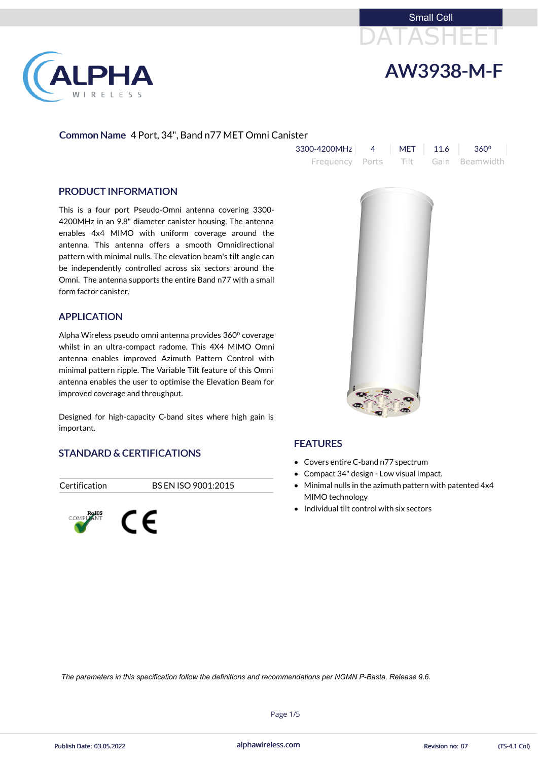



## Common Name 4 Port, 34", Band n77 MET Omni Canister

| $3300 - 4200$ MHz 4 MET 11.6 360°   |  |  |
|-------------------------------------|--|--|
| Frequency Ports Tilt Gain Beamwidth |  |  |

### PRODUCT INFORMATION

LPHA

RELESS

This is a four port Pseudo-Omni antenna covering 3300- 4200MHz in an 9.8" diameter canister housing. The antenna enables 4x4 MIMO with uniform coverage around the antenna. This antenna offers a smooth Omnidirectional pattern with minimal nulls. The elevation beam's tilt angle can be independently controlled across six sectors around the Omni. The antenna supports the entire Band n77 with a small form factor canister.

- Covers entire C-band n77 spectrum
- Compact 34" design Low visual impact.
- Minimal nulls in the azimuth pattern with patented 4x4 MIMO technology
- $\bullet$  Individual tilt control with six sectors

## APPLICATION

Alpha Wireless pseudo omni antenna provides 360⁰ coverage whilst in an ultra-compact radome. This 4X4 MIMO Omni antenna enables improved Azimuth Pattern Control with minimal pattern ripple. The Variable Tilt feature of this Omni antenna enables the user to optimise the Elevation Beam for improved coverage and throughput.

Designed for high-capacity C-band sites where high gain is important.

# STANDARD & CERTIFICATIONS

### Certification BS EN ISO 9001:2015







# FEATURES

alphawireless.com

Page 1/5



*The parameters in this specification follow the definitions and recommendations per NGMN P-Basta, Release 9.6.*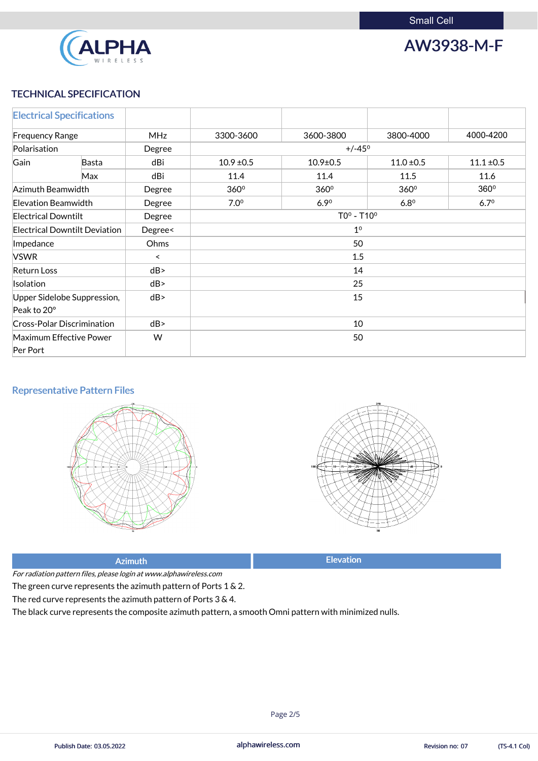

AW3938-M-F

# TECHNICAL SPECIFICATION

|                                   | <b>Electrical Specifications</b>     |            |                  |                |                  |                |
|-----------------------------------|--------------------------------------|------------|------------------|----------------|------------------|----------------|
| <b>Frequency Range</b>            |                                      | <b>MHz</b> | 3300-3600        | 3600-3800      | 3800-4000        | 4000-4200      |
| Polarisation                      |                                      | Degree     | $+/-45^{\circ}$  |                |                  |                |
| Gain                              | Basta                                | dBi        | $10.9 \pm 0.5$   | $10.9 \pm 0.5$ | $11.0 \pm 0.5$   | $11.1 \pm 0.5$ |
|                                   | Max                                  | dBi        | 11.4             | 11.4           | 11.5             | 11.6           |
| Azimuth Beamwidth                 |                                      | Degree     | 360°             | 360°           | 360 <sup>°</sup> | $360^\circ$    |
| Elevation Beamwidth<br>Degree     |                                      |            | 7.0 <sup>o</sup> | 6.90           | $6.8^{\circ}$    | $6.7^{\circ}$  |
| <b>Electrical Downtilt</b>        |                                      | Degree     | $TOo - T10o$     |                |                  |                |
|                                   | <b>Electrical Downtilt Deviation</b> | Degree<    | 1 <sup>0</sup>   |                |                  |                |
| Impedance                         |                                      | Ohms       | 50               |                |                  |                |
| <b>VSWR</b>                       |                                      | $\,<\,$    | 1.5              |                |                  |                |
| <b>Return Loss</b>                |                                      | dB         | 14               |                |                  |                |
| Isolation                         |                                      | dB         | 25               |                |                  |                |
|                                   | Upper Sidelobe Suppression,          | dB         | 15               |                |                  |                |
| Peak to 20°                       |                                      |            |                  |                |                  |                |
| <b>Cross-Polar Discrimination</b> |                                      | dB         | 10               |                |                  |                |
|                                   | <b>Maximum Effective Power</b>       | W          | 50               |                |                  |                |
| Per Port                          |                                      |            |                  |                |                  |                |

# Representative Pattern Files







For radiation pattern files, please login at www.alphawireless.com

The green curve represents the azimuth pattern of Ports 1 & 2.

The red curve represents the azimuth pattern of Ports 3 & 4.

The black curve represents the composite azimuth pattern, a smooth Omni pattern with minimized nulls.

alphawireless.com

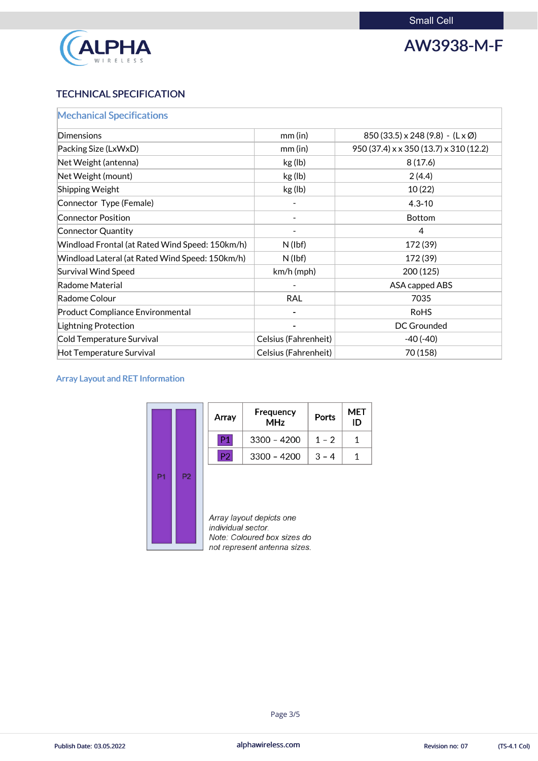

# AW3938-M-F

# TECHNICAL SPECIFICATION

| <b>Mechanical Specifications</b>                |                             |                                                    |  |  |
|-------------------------------------------------|-----------------------------|----------------------------------------------------|--|--|
| Dimensions                                      | $mm$ (in)                   | $850(33.5) \times 248(9.8) - (L \times \emptyset)$ |  |  |
| Packing Size (LxWxD)                            | $mm$ (in)                   | 950 (37.4) x x 350 (13.7) x 310 (12.2)             |  |  |
| Net Weight (antenna)                            | kg (lb)                     | 8(17.6)                                            |  |  |
| Net Weight (mount)                              | kg (lb)                     | 2(4.4)                                             |  |  |
| <b>Shipping Weight</b>                          | kg (lb)                     | 10(22)                                             |  |  |
| Connector Type (Female)                         |                             | $4.3 - 10$                                         |  |  |
| <b>Connector Position</b>                       |                             | <b>Bottom</b>                                      |  |  |
| <b>Connector Quantity</b>                       |                             | $\overline{4}$                                     |  |  |
| Windload Frontal (at Rated Wind Speed: 150km/h) | $N$ (lbf)                   | 172 (39)                                           |  |  |
| Windload Lateral (at Rated Wind Speed: 150km/h) | $N$ (lbf)                   | 172 (39)                                           |  |  |
| <b>Survival Wind Speed</b>                      | $km/h$ (mph)                | 200 (125)                                          |  |  |
| Radome Material                                 |                             | ASA capped ABS                                     |  |  |
| Radome Colour                                   | <b>RAL</b>                  | 7035                                               |  |  |
| <b>Product Compliance Environmental</b>         |                             | <b>RoHS</b>                                        |  |  |
| <b>Lightning Protection</b>                     |                             | <b>DC Grounded</b>                                 |  |  |
| Cold Temperature Survival                       | <b>Celsius (Fahrenheit)</b> | $-40(-40)$                                         |  |  |
| Hot Temperature Survival                        | Celsius (Fahrenheit)        | 70 (158)                                           |  |  |

# Array Layout and RET Information

|                |                | Array              | Frequency<br><b>MHz</b>                                 | Ports   | MET<br>ID |
|----------------|----------------|--------------------|---------------------------------------------------------|---------|-----------|
|                |                | P1                 | $3300 - 4200$                                           | $1 - 2$ |           |
|                |                | P2                 | $3300 - 4200$                                           | $3 - 4$ | 1         |
| P <sub>1</sub> | P <sub>2</sub> | individual sector. | Array layout depicts one<br>Note: Coloured box sizes do |         |           |

not represent antenna sizes.

alphawireless.com

![](_page_2_Picture_8.jpeg)

![](_page_2_Picture_11.jpeg)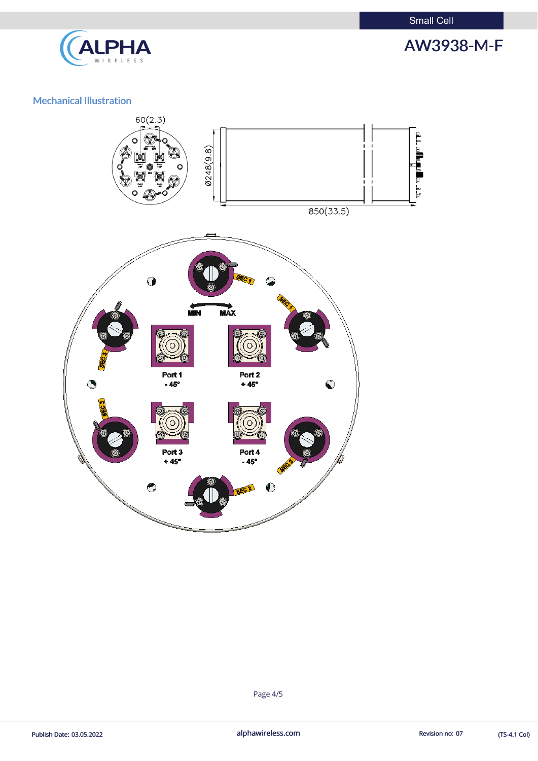Small Cell

![](_page_3_Picture_1.jpeg)

# AW3938-M-F

# Mechanical Illustration

![](_page_3_Figure_4.jpeg)

Page 4/5

Publish Date: 03.05.2022 **alphawireless.com** alphawireless.com Revision no: 07 (TS-4.1 Col)